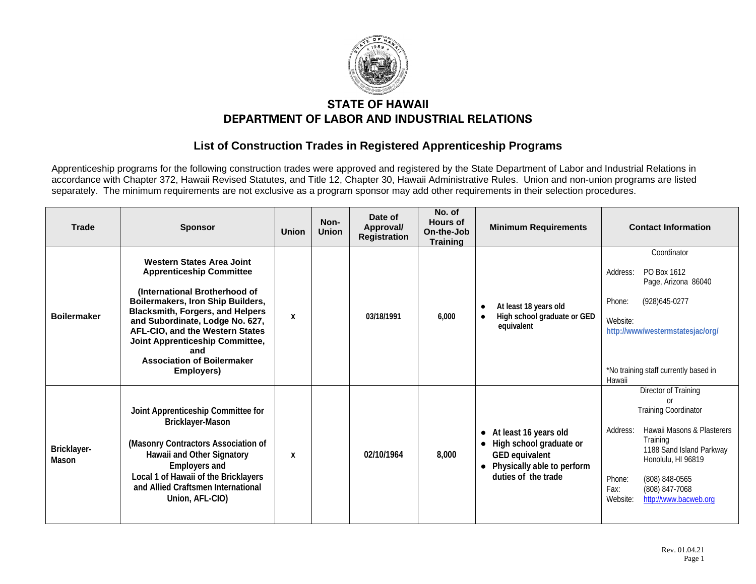

## **STATE OF HAWAII DEPARTMENT OF LABOR AND INDUSTRIAL RELATIONS**

## **List of Construction Trades in Registered Apprenticeship Programs**

Apprenticeship programs for the following construction trades were approved and registered by the State Department of Labor and Industrial Relations in accordance with Chapter 372, Hawaii Revised Statutes, and Title 12, Chapter 30, Hawaii Administrative Rules. Union and non-union programs are listed separately. The minimum requirements are not exclusive as a program sponsor may add other requirements in their selection procedures.

| <b>Trade</b>         | <b>Sponsor</b>                                                                                                                                                                                                                                                                                                                                          | <b>Union</b> | Non-<br><b>Union</b> | Date of<br>Approval/<br><b>Registration</b> | No. of<br><b>Hours of</b><br>On-the-Job<br><b>Training</b> | <b>Minimum Requirements</b>                                                                                                                       | <b>Contact Information</b>                                                                                                                                                                                                                                   |
|----------------------|---------------------------------------------------------------------------------------------------------------------------------------------------------------------------------------------------------------------------------------------------------------------------------------------------------------------------------------------------------|--------------|----------------------|---------------------------------------------|------------------------------------------------------------|---------------------------------------------------------------------------------------------------------------------------------------------------|--------------------------------------------------------------------------------------------------------------------------------------------------------------------------------------------------------------------------------------------------------------|
| <b>Boilermaker</b>   | <b>Western States Area Joint</b><br><b>Apprenticeship Committee</b><br>(International Brotherhood of<br>Boilermakers, Iron Ship Builders,<br><b>Blacksmith, Forgers, and Helpers</b><br>and Subordinate, Lodge No. 627,<br>AFL-CIO, and the Western States<br>Joint Apprenticeship Committee,<br>and<br><b>Association of Boilermaker</b><br>Employers) | X            |                      | 03/18/1991                                  | 6.000                                                      | At least 18 years old<br>$\bullet$<br>High school graduate or GED<br>equivalent                                                                   | Coordinator<br>PO Box 1612<br>Address:<br>Page, Arizona 86040<br>(928) 645-0277<br>Phone:<br>Website:<br>http://www/westermstatesjac/org/<br>*No training staff currently based in<br>Hawaii                                                                 |
| Bricklayer-<br>Mason | Joint Apprenticeship Committee for<br>Bricklayer-Mason<br>(Masonry Contractors Association of<br>Hawaii and Other Signatory<br><b>Employers and</b><br>Local 1 of Hawaii of the Bricklayers<br>and Allied Craftsmen International<br>Union, AFL-CIO)                                                                                                    | X            |                      | 02/10/1964                                  | 8,000                                                      | At least 16 years old<br>$\bullet$<br>High school graduate or<br>GED equivalent<br>Physically able to perform<br>$\bullet$<br>duties of the trade | Director of Training<br>or<br><b>Training Coordinator</b><br>Hawaii Masons & Plasterers<br>Address:<br>Training<br>1188 Sand Island Parkway<br>Honolulu, HI 96819<br>Phone:<br>(808) 848-0565<br>Fax:<br>(808) 847-7068<br>http://www.bacweb.org<br>Website: |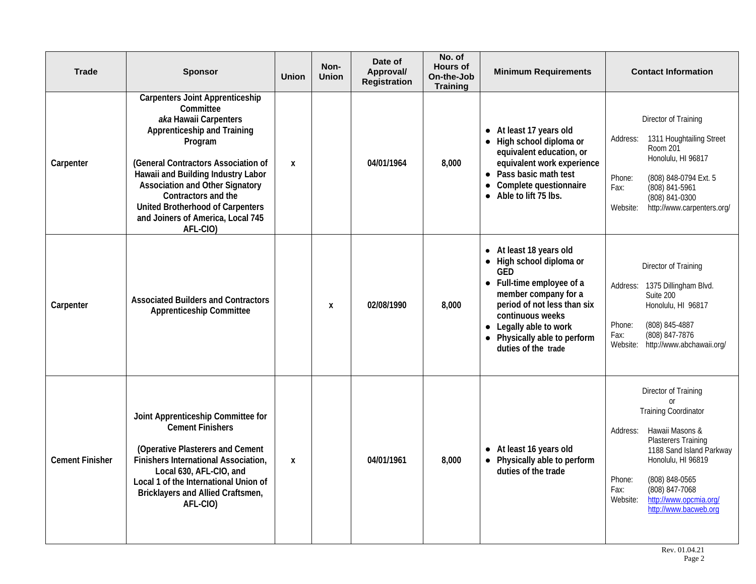| <b>Trade</b>           | <b>Sponsor</b>                                                                                                                                                                                                                                                                                                                                                   | <b>Union</b> | Non-<br><b>Union</b> | Date of<br>Approval/<br><b>Registration</b> | No. of<br><b>Hours of</b><br>On-the-Job<br><b>Training</b> | <b>Minimum Requirements</b>                                                                                                                                                                                                                         | <b>Contact Information</b>                                                                                                                                                                                                                                                                            |
|------------------------|------------------------------------------------------------------------------------------------------------------------------------------------------------------------------------------------------------------------------------------------------------------------------------------------------------------------------------------------------------------|--------------|----------------------|---------------------------------------------|------------------------------------------------------------|-----------------------------------------------------------------------------------------------------------------------------------------------------------------------------------------------------------------------------------------------------|-------------------------------------------------------------------------------------------------------------------------------------------------------------------------------------------------------------------------------------------------------------------------------------------------------|
| Carpenter              | <b>Carpenters Joint Apprenticeship</b><br>Committee<br>aka Hawaii Carpenters<br><b>Apprenticeship and Training</b><br>Program<br>(General Contractors Association of<br>Hawaii and Building Industry Labor<br><b>Association and Other Signatory</b><br>Contractors and the<br>United Brotherhood of Carpenters<br>and Joiners of America, Local 745<br>AFL-CIO) | X            |                      | 04/01/1964                                  | 8,000                                                      | • At least 17 years old<br>• High school diploma or<br>equivalent education, or<br>equivalent work experience<br>• Pass basic math test<br>• Complete questionnaire<br>Able to lift 75 lbs.                                                         | Director of Training<br>1311 Houghtailing Street<br>Address:<br>Room 201<br>Honolulu, HI 96817<br>Phone:<br>(808) 848-0794 Ext. 5<br>(808) 841-5961<br>Fax:<br>(808) 841-0300<br>http://www.carpenters.org/<br>Website:                                                                               |
| Carpenter              | <b>Associated Builders and Contractors</b><br><b>Apprenticeship Committee</b>                                                                                                                                                                                                                                                                                    |              | X                    | 02/08/1990                                  | 8,000                                                      | • At least 18 years old<br>• High school diploma or<br>GED<br>• Full-time employee of a<br>member company for a<br>period of not less than six<br>continuous weeks<br>• Legally able to work<br>• Physically able to perform<br>duties of the trade | Director of Training<br>Address: 1375 Dillingham Blvd.<br>Suite 200<br>Honolulu, HI 96817<br>Phone:<br>(808) 845-4887<br>(808) 847-7876<br>Fax:<br>http://www.abchawaii.org/<br>Website:                                                                                                              |
| <b>Cement Finisher</b> | Joint Apprenticeship Committee for<br><b>Cement Finishers</b><br>(Operative Plasterers and Cement<br>Finishers International Association,<br>Local 630, AFL-CIO, and<br>Local 1 of the International Union of<br>Bricklayers and Allied Craftsmen,<br>AFL-CIO)                                                                                                   | X            |                      | 04/01/1961                                  | 8,000                                                      | • At least 16 years old<br>• Physically able to perform<br>duties of the trade                                                                                                                                                                      | Director of Training<br>$\Omega$ r<br><b>Training Coordinator</b><br>Hawaii Masons &<br>Address:<br><b>Plasterers Training</b><br>1188 Sand Island Parkway<br>Honolulu, HI 96819<br>Phone:<br>(808) 848-0565<br>(808) 847-7068<br>Fax:<br>http://www.opcmia.org/<br>Website:<br>http://www.bacweb.org |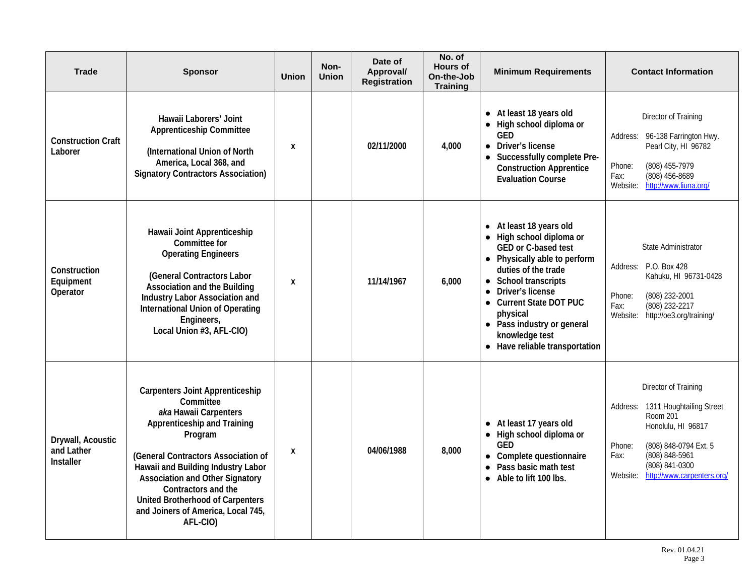| <b>Trade</b>                                 | <b>Sponsor</b>                                                                                                                                                                                                                                                                                                                                             | <b>Union</b> | Non-<br><b>Union</b> | Date of<br>Approval/<br><b>Registration</b> | No. of<br><b>Hours of</b><br>On-the-Job<br><b>Training</b> | <b>Minimum Requirements</b>                                                                                                                                                                                                                                                                                   | <b>Contact Information</b>                                                                                                                                                                                                     |
|----------------------------------------------|------------------------------------------------------------------------------------------------------------------------------------------------------------------------------------------------------------------------------------------------------------------------------------------------------------------------------------------------------------|--------------|----------------------|---------------------------------------------|------------------------------------------------------------|---------------------------------------------------------------------------------------------------------------------------------------------------------------------------------------------------------------------------------------------------------------------------------------------------------------|--------------------------------------------------------------------------------------------------------------------------------------------------------------------------------------------------------------------------------|
| <b>Construction Craft</b><br>Laborer         | Hawaii Laborers' Joint<br><b>Apprenticeship Committee</b><br>(International Union of North<br>America, Local 368, and<br><b>Signatory Contractors Association)</b>                                                                                                                                                                                         | X            |                      | 02/11/2000                                  | 4,000                                                      | • At least 18 years old<br>• High school diploma or<br><b>GED</b><br>• Driver's license<br>• Successfully complete Pre-<br><b>Construction Apprentice</b><br><b>Evaluation Course</b>                                                                                                                         | Director of Training<br>Address: 96-138 Farrington Hwy.<br>Pearl City, HI 96782<br>(808) 455-7979<br>Phone:<br>(808) 456-8689<br>Fax:<br>http://www.liuna.org/<br>Website:                                                     |
| Construction<br>Equipment<br>Operator        | Hawaii Joint Apprenticeship<br>Committee for<br><b>Operating Engineers</b><br>(General Contractors Labor<br><b>Association and the Building</b><br>Industry Labor Association and<br><b>International Union of Operating</b><br>Engineers,<br>Local Union #3, AFL-CIO)                                                                                     | X            |                      | 11/14/1967                                  | 6,000                                                      | • At least 18 years old<br>• High school diploma or<br><b>GED or C-based test</b><br>• Physically able to perform<br>duties of the trade<br>• School transcripts<br>Driver's license<br>• Current State DOT PUC<br>physical<br>• Pass industry or general<br>knowledge test<br>• Have reliable transportation | State Administrator<br>Address: P.O. Box 428<br>Kahuku, HI 96731-0428<br>(808) 232-2001<br>Phone:<br>(808) 232-2217<br>Fax:<br>http://oe3.org/training/<br>Website:                                                            |
| Drywall, Acoustic<br>and Lather<br>Installer | <b>Carpenters Joint Apprenticeship</b><br>Committee<br>aka Hawaii Carpenters<br>Apprenticeship and Training<br>Program<br>(General Contractors Association of<br>Hawaii and Building Industry Labor<br><b>Association and Other Signatory</b><br>Contractors and the<br>United Brotherhood of Carpenters<br>and Joiners of America, Local 745,<br>AFL-CIO) | X            |                      | 04/06/1988                                  | 8,000                                                      | • At least 17 years old<br>• High school diploma or<br><b>GED</b><br>• Complete questionnaire<br>Pass basic math test<br>$\bullet$<br>• Able to lift 100 lbs.                                                                                                                                                 | Director of Training<br>1311 Houghtailing Street<br>Address:<br><b>Room 201</b><br>Honolulu, HI 96817<br>(808) 848-0794 Ext. 5<br>Phone:<br>(808) 848-5961<br>Fax:<br>(808) 841-0300<br>http://www.carpenters.org/<br>Website: |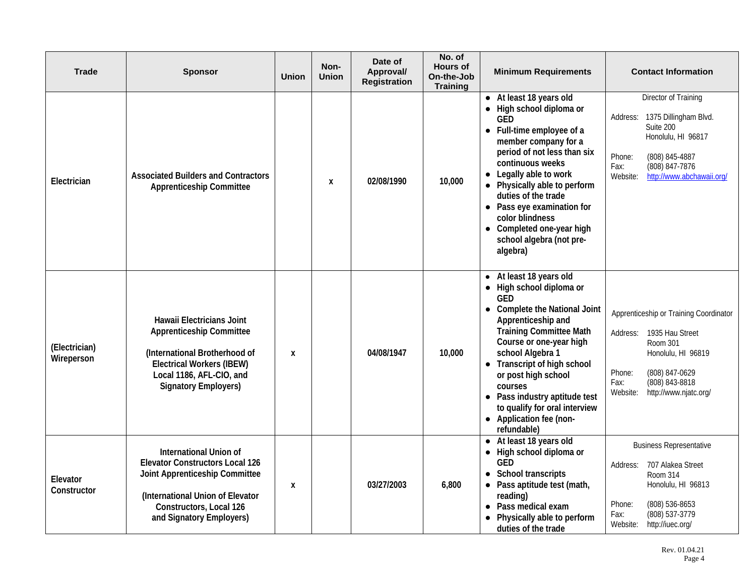| <b>Trade</b>                | <b>Sponsor</b>                                                                                                                                                                                       | <b>Union</b> | Non-<br><b>Union</b> | Date of<br>Approval/<br><b>Registration</b> | No. of<br><b>Hours of</b><br>On-the-Job<br><b>Training</b> | <b>Minimum Requirements</b>                                                                                                                                                                                                                                                                                                                                                        | <b>Contact Information</b>                                                                                                                                                                         |
|-----------------------------|------------------------------------------------------------------------------------------------------------------------------------------------------------------------------------------------------|--------------|----------------------|---------------------------------------------|------------------------------------------------------------|------------------------------------------------------------------------------------------------------------------------------------------------------------------------------------------------------------------------------------------------------------------------------------------------------------------------------------------------------------------------------------|----------------------------------------------------------------------------------------------------------------------------------------------------------------------------------------------------|
| Electrician                 | <b>Associated Builders and Contractors</b><br><b>Apprenticeship Committee</b>                                                                                                                        |              | X                    | 02/08/1990                                  | 10,000                                                     | • At least 18 years old<br>• High school diploma or<br>GED<br>• Full-time employee of a<br>member company for a<br>period of not less than six<br>continuous weeks<br>Legally able to work<br>Physically able to perform<br>duties of the trade<br>• Pass eye examination for<br>color blindness<br>• Completed one-year high<br>school algebra (not pre-<br>algebra)              | Director of Training<br>1375 Dillingham Blvd.<br>Address:<br>Suite 200<br>Honolulu, HI 96817<br>(808) 845-4887<br>Phone:<br>(808) 847-7876<br>Fax:<br>Website:<br>http://www.abchawaii.org/        |
| (Electrician)<br>Wireperson | Hawaii Electricians Joint<br><b>Apprenticeship Committee</b><br>(International Brotherhood of<br><b>Electrical Workers (IBEW)</b><br>Local 1186, AFL-CIO, and<br><b>Signatory Employers)</b>         | X            |                      | 04/08/1947                                  | 10,000                                                     | At least 18 years old<br>• High school diploma or<br><b>GED</b><br>• Complete the National Joint<br>Apprenticeship and<br><b>Training Committee Math</b><br>Course or one-year high<br>school Algebra 1<br>• Transcript of high school<br>or post high school<br>courses<br>• Pass industry aptitude test<br>to qualify for oral interview<br>Application fee (non-<br>refundable) | Apprenticeship or Training Coordinator<br>1935 Hau Street<br>Address:<br>Room 301<br>Honolulu, HI 96819<br>(808) 847-0629<br>Phone:<br>(808) 843-8818<br>Fax:<br>http://www.njatc.org/<br>Website: |
| Elevator<br>Constructor     | <b>International Union of</b><br><b>Elevator Constructors Local 126</b><br>Joint Apprenticeship Committee<br>(International Union of Elevator<br>Constructors, Local 126<br>and Signatory Employers) | X            |                      | 03/27/2003                                  | 6,800                                                      | • At least 18 years old<br>High school diploma or<br><b>GED</b><br>• School transcripts<br>Pass aptitude test (math,<br>reading)<br>• Pass medical exam<br>• Physically able to perform<br>duties of the trade                                                                                                                                                                     | <b>Business Representative</b><br>707 Alakea Street<br>Address:<br>Room 314<br>Honolulu, HI 96813<br>Phone:<br>(808) 536-8653<br>(808) 537-3779<br>Fax:<br>Website:<br>http://iuec.org/            |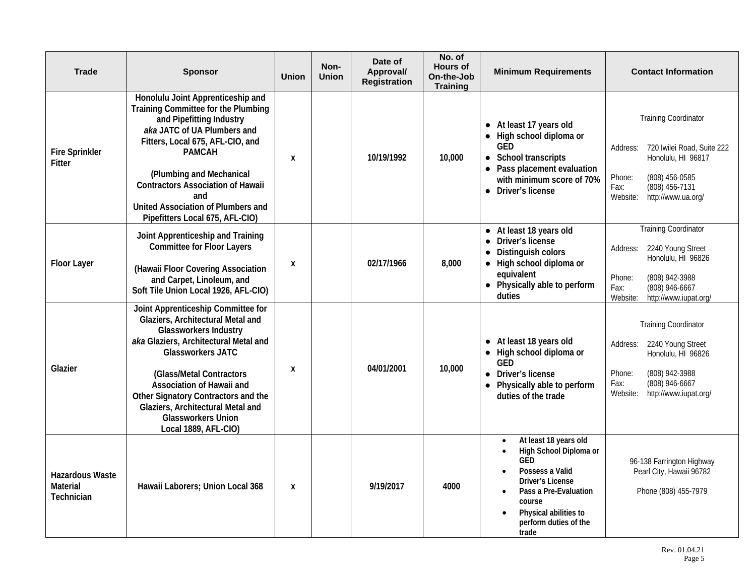| <b>Trade</b>                                     | <b>Sponsor</b>                                                                                                                                                                                                                                                                                                                                                         | <b>Union</b> | Non-<br><b>Union</b> | Date of<br>Approval/<br><b>Registration</b> | No. of<br><b>Hours of</b><br>On-the-Job<br><b>Training</b> | <b>Minimum Requirements</b>                                                                                                                                                                        | <b>Contact Information</b>                                                                                                                                                          |
|--------------------------------------------------|------------------------------------------------------------------------------------------------------------------------------------------------------------------------------------------------------------------------------------------------------------------------------------------------------------------------------------------------------------------------|--------------|----------------------|---------------------------------------------|------------------------------------------------------------|----------------------------------------------------------------------------------------------------------------------------------------------------------------------------------------------------|-------------------------------------------------------------------------------------------------------------------------------------------------------------------------------------|
| <b>Fire Sprinkler</b><br>Fitter                  | Honolulu Joint Apprenticeship and<br>Training Committee for the Plumbing<br>and Pipefitting Industry<br>aka JATC of UA Plumbers and<br>Fitters, Local 675, AFL-CIO, and<br><b>PAMCAH</b><br>(Plumbing and Mechanical<br><b>Contractors Association of Hawaii</b><br>and<br>United Association of Plumbers and<br>Pipefitters Local 675, AFL-CIO)                       | X            |                      | 10/19/1992                                  | 10,000                                                     | • At least 17 years old<br>High school diploma or<br><b>GED</b><br>• School transcripts<br>• Pass placement evaluation<br>with minimum score of 70%<br>• Driver's license                          | <b>Training Coordinator</b><br>720 Iwilei Road, Suite 222<br>Address:<br>Honolulu, HI 96817<br>(808) 456-0585<br>Phone:<br>(808) 456-7131<br>Fax:<br>Website:<br>http://www.ua.org/ |
| <b>Floor Layer</b>                               | Joint Apprenticeship and Training<br><b>Committee for Floor Layers</b><br>(Hawaii Floor Covering Association<br>and Carpet, Linoleum, and<br>Soft Tile Union Local 1926, AFL-CIO)                                                                                                                                                                                      | χ            |                      | 02/17/1966                                  | 8,000                                                      | • At least 18 years old<br>Driver's license<br>$\bullet$<br>Distinguish colors<br>$\bullet$<br>• High school diploma or<br>equivalent<br>• Physically able to perform<br>duties                    | <b>Training Coordinator</b><br>2240 Young Street<br>Address:<br>Honolulu, HI 96826<br>(808) 942-3988<br>Phone:<br>Fax:<br>(808) 946-6667<br>http://www.iupat.org/<br>Website:       |
| Glazier                                          | Joint Apprenticeship Committee for<br>Glaziers, Architectural Metal and<br><b>Glassworkers Industry</b><br>aka Glaziers, Architectural Metal and<br><b>Glassworkers JATC</b><br>(Glass/Metal Contractors<br>Association of Hawaii and<br>Other Signatory Contractors and the<br>Glaziers, Architectural Metal and<br><b>Glassworkers Union</b><br>Local 1889, AFL-CIO) | X            |                      | 04/01/2001                                  | 10,000                                                     | • At least 18 years old<br>• High school diploma or<br><b>GED</b><br>• Driver's license<br>• Physically able to perform<br>duties of the trade                                                     | <b>Training Coordinator</b><br>Address:<br>2240 Young Street<br>Honolulu, HI 96826<br>(808) 942-3988<br>Phone:<br>(808) 946-6667<br>Fax:<br>Website:<br>http://www.iupat.org/       |
| <b>Hazardous Waste</b><br>Material<br>Technician | Hawaii Laborers; Union Local 368                                                                                                                                                                                                                                                                                                                                       | X            |                      | 9/19/2017                                   | 4000                                                       | At least 18 years old<br>High School Diploma or<br><b>GED</b><br>Possess a Valid<br>Driver's License<br>Pass a Pre-Evaluation<br>course<br>Physical abilities to<br>perform duties of the<br>trade | 96-138 Farrington Highway<br>Pearl City, Hawaii 96782<br>Phone (808) 455-7979                                                                                                       |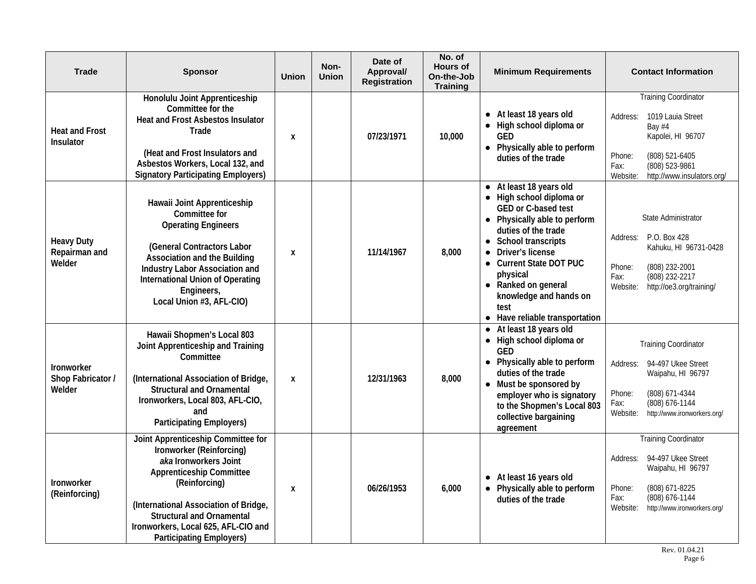| <b>Trade</b>                                 | <b>Sponsor</b>                                                                                                                                                                                                                                                                                     | <b>Union</b> | Non-<br><b>Union</b> | Date of<br>Approval/<br><b>Registration</b> | No. of<br><b>Hours of</b><br>On-the-Job<br><b>Training</b> | <b>Minimum Requirements</b>                                                                                                                                                                                                                                                                                                                                          | <b>Contact Information</b>                                                                                                                                                                  |
|----------------------------------------------|----------------------------------------------------------------------------------------------------------------------------------------------------------------------------------------------------------------------------------------------------------------------------------------------------|--------------|----------------------|---------------------------------------------|------------------------------------------------------------|----------------------------------------------------------------------------------------------------------------------------------------------------------------------------------------------------------------------------------------------------------------------------------------------------------------------------------------------------------------------|---------------------------------------------------------------------------------------------------------------------------------------------------------------------------------------------|
| <b>Heat and Frost</b><br>Insulator           | Honolulu Joint Apprenticeship<br>Committee for the<br><b>Heat and Frost Asbestos Insulator</b><br>Trade<br>(Heat and Frost Insulators and<br>Asbestos Workers, Local 132, and<br><b>Signatory Participating Employers)</b>                                                                         | X            |                      | 07/23/1971                                  | 10,000                                                     | • At least 18 years old<br>• High school diploma or<br>GED<br>• Physically able to perform<br>duties of the trade                                                                                                                                                                                                                                                    | <b>Training Coordinator</b><br>1019 Lauia Street<br>Address:<br>Bay #4<br>Kapolei, HI 96707<br>(808) 521-6405<br>Phone:<br>(808) 523-9861<br>Fax:<br>Website:<br>http://www.insulators.org/ |
| <b>Heavy Duty</b><br>Repairman and<br>Welder | Hawaii Joint Apprenticeship<br>Committee for<br><b>Operating Engineers</b><br>(General Contractors Labor<br>Association and the Building<br>Industry Labor Association and<br><b>International Union of Operating</b><br>Engineers,<br>Local Union #3, AFL-CIO)                                    | X            |                      | 11/14/1967                                  | 8,000                                                      | At least 18 years old<br>$\bullet$<br>• High school diploma or<br>GED or C-based test<br>• Physically able to perform<br>duties of the trade<br>School transcripts<br>$\bullet$<br>Driver's license<br>$\bullet$<br><b>Current State DOT PUC</b><br>$\bullet$<br>physical<br>• Ranked on general<br>knowledge and hands on<br>test<br>• Have reliable transportation | State Administrator<br>P.O. Box 428<br>Address:<br>Kahuku, HI 96731-0428<br>Phone:<br>(808) 232-2001<br>(808) 232-2217<br>Fax:<br>http://oe3.org/training/<br>Website:                      |
| Ironworker<br>Shop Fabricator /<br>Welder    | Hawaii Shopmen's Local 803<br>Joint Apprenticeship and Training<br>Committee<br>(International Association of Bridge,<br><b>Structural and Ornamental</b><br>Ironworkers, Local 803, AFL-CIO,<br>and<br><b>Participating Employers)</b>                                                            | X            |                      | 12/31/1963                                  | 8,000                                                      | • At least 18 years old<br>High school diploma or<br>$\bullet$<br>GED<br>Physically able to perform<br>$\bullet$<br>duties of the trade<br>• Must be sponsored by<br>employer who is signatory<br>to the Shopmen's Local 803<br>collective bargaining<br>agreement                                                                                                   | <b>Training Coordinator</b><br>94-497 Ukee Street<br>Address:<br>Waipahu, HI 96797<br>(808) 671-4344<br>Phone:<br>(808) 676-1144<br>Fax:<br>http://www.ironworkers.org/<br>Website:         |
| Ironworker<br>(Reinforcing)                  | Joint Apprenticeship Committee for<br>Ironworker (Reinforcing)<br>aka Ironworkers Joint<br><b>Apprenticeship Committee</b><br>(Reinforcing)<br>(International Association of Bridge,<br><b>Structural and Ornamental</b><br>Ironworkers, Local 625, AFL-CIO and<br><b>Participating Employers)</b> | X            |                      | 06/26/1953                                  | 6,000                                                      | • At least 16 years old<br>• Physically able to perform<br>duties of the trade                                                                                                                                                                                                                                                                                       | <b>Training Coordinator</b><br>94-497 Ukee Street<br>Address:<br>Waipahu, HI 96797<br>Phone:<br>(808) 671-8225<br>Fax:<br>(808) 676-1144<br>Website:<br>http://www.ironworkers.org/         |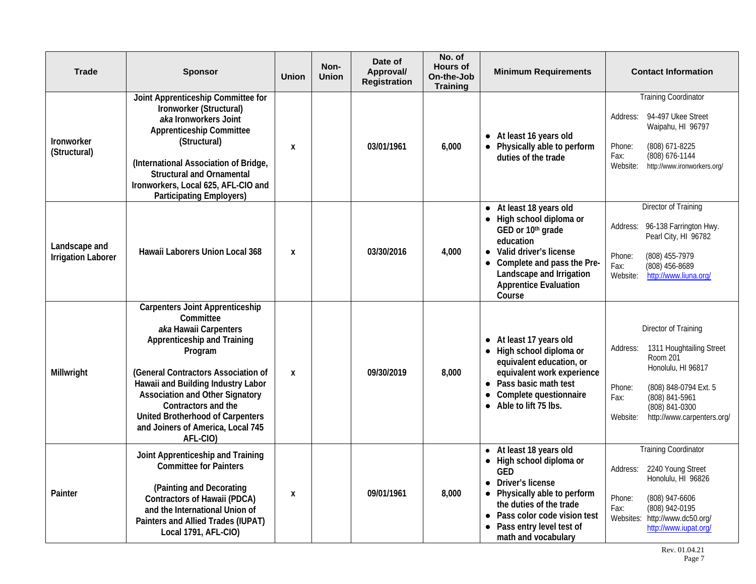| <b>Trade</b>                               | <b>Sponsor</b>                                                                                                                                                                                                                                                                                                                                            | <b>Union</b>     | Non-<br><b>Union</b> | Date of<br>Approval/<br><b>Registration</b> | No. of<br><b>Hours of</b><br>On-the-Job<br><b>Training</b> | <b>Minimum Requirements</b>                                                                                                                                                                                                            | <b>Contact Information</b>                                                                                                                                                                                              |
|--------------------------------------------|-----------------------------------------------------------------------------------------------------------------------------------------------------------------------------------------------------------------------------------------------------------------------------------------------------------------------------------------------------------|------------------|----------------------|---------------------------------------------|------------------------------------------------------------|----------------------------------------------------------------------------------------------------------------------------------------------------------------------------------------------------------------------------------------|-------------------------------------------------------------------------------------------------------------------------------------------------------------------------------------------------------------------------|
| Ironworker<br>(Structural)                 | Joint Apprenticeship Committee for<br>Ironworker (Structural)<br>aka Ironworkers Joint<br><b>Apprenticeship Committee</b><br>(Structural)<br>(International Association of Bridge,<br><b>Structural and Ornamental</b><br>Ironworkers, Local 625, AFL-CIO and<br><b>Participating Employers)</b>                                                          | X                |                      | 03/01/1961                                  | 6,000                                                      | • At least 16 years old<br>• Physically able to perform<br>duties of the trade                                                                                                                                                         | <b>Training Coordinator</b><br>94-497 Ukee Street<br>Address:<br>Waipahu, HI 96797<br>(808) 671-8225<br>Phone:<br>(808) 676-1144<br>Fax:<br>Website:<br>http://www.ironworkers.org/                                     |
| Landscape and<br><b>Irrigation Laborer</b> | Hawaii Laborers Union Local 368                                                                                                                                                                                                                                                                                                                           | X                |                      | 03/30/2016                                  | 4,000                                                      | • At least 18 years old<br>• High school diploma or<br>GED or 10th grade<br>education<br>Valid driver's license<br>$\bullet$<br>• Complete and pass the Pre-<br>Landscape and Irrigation<br><b>Apprentice Evaluation</b><br>Course     | <b>Director of Training</b><br>96-138 Farrington Hwy.<br>Address:<br>Pearl City, HI 96782<br>(808) 455-7979<br>Phone:<br>(808) 456-8689<br>Fax:<br>Website:<br>http://www.liuna.org/                                    |
| Millwright                                 | <b>Carpenters Joint Apprenticeship</b><br>Committee<br>aka Hawaii Carpenters<br>Apprenticeship and Training<br>Program<br>(General Contractors Association of<br>Hawaii and Building Industry Labor<br><b>Association and Other Signatory</b><br>Contractors and the<br>United Brotherhood of Carpenters<br>and Joiners of America, Local 745<br>AFL-CIO) | $\boldsymbol{x}$ |                      | 09/30/2019                                  | 8,000                                                      | • At least 17 years old<br>• High school diploma or<br>equivalent education, or<br>equivalent work experience<br>• Pass basic math test<br>Complete questionnaire<br>Able to lift 75 lbs.<br>$\bullet$                                 | Director of Training<br>1311 Houghtailing Street<br>Address:<br>Room 201<br>Honolulu, HI 96817<br>Phone:<br>(808) 848-0794 Ext. 5<br>(808) 841-5961<br>Fax:<br>(808) 841-0300<br>Website:<br>http://www.carpenters.org/ |
| Painter                                    | Joint Apprenticeship and Training<br><b>Committee for Painters</b><br>(Painting and Decorating<br><b>Contractors of Hawaii (PDCA)</b><br>and the International Union of<br>Painters and Allied Trades (IUPAT)<br>Local 1791, AFL-CIO)                                                                                                                     | X                |                      | 09/01/1961                                  | 8,000                                                      | At least 18 years old<br>$\bullet$<br>High school diploma or<br>GED<br>• Driver's license<br>Physically able to perform<br>the duties of the trade<br>• Pass color code vision test<br>Pass entry level test of<br>math and vocabulary | <b>Training Coordinator</b><br>2240 Young Street<br>Address:<br>Honolulu, HI 96826<br>Phone:<br>(808) 947-6606<br>(808) 942-0195<br>Fax:<br>http://www.dc50.org/<br>Websites:<br>http://www.iupat.org/                  |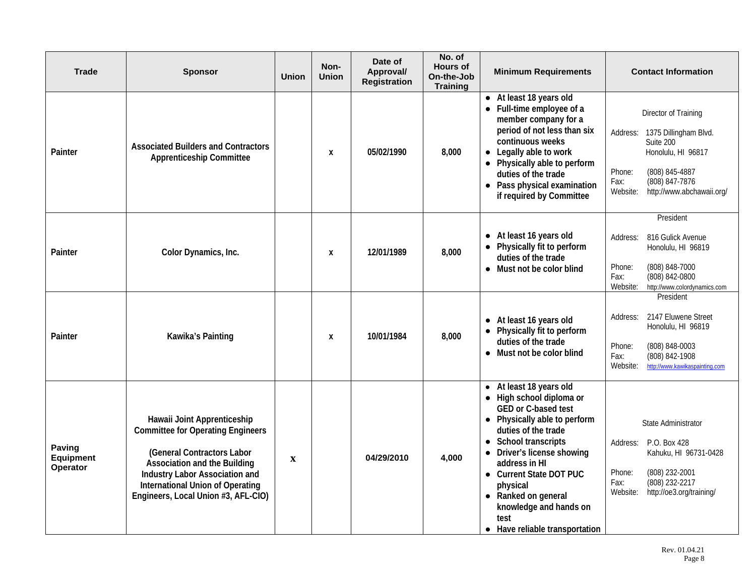| Trade                           | <b>Sponsor</b>                                                                                                                                                                                                                                                   | <b>Union</b> | Non-<br><b>Union</b> | Date of<br>Approval/<br>Registration | No. of<br><b>Hours of</b><br>On-the-Job<br><b>Training</b> | <b>Minimum Requirements</b>                                                                                                                                                                                                                                                                                                          | <b>Contact Information</b>                                                                                                                                                                  |
|---------------------------------|------------------------------------------------------------------------------------------------------------------------------------------------------------------------------------------------------------------------------------------------------------------|--------------|----------------------|--------------------------------------|------------------------------------------------------------|--------------------------------------------------------------------------------------------------------------------------------------------------------------------------------------------------------------------------------------------------------------------------------------------------------------------------------------|---------------------------------------------------------------------------------------------------------------------------------------------------------------------------------------------|
| Painter                         | <b>Associated Builders and Contractors</b><br><b>Apprenticeship Committee</b>                                                                                                                                                                                    |              | X                    | 05/02/1990                           | 8,000                                                      | • At least 18 years old<br>• Full-time employee of a<br>member company for a<br>period of not less than six<br>continuous weeks<br>Legally able to work<br>• Physically able to perform<br>duties of the trade<br>• Pass physical examination<br>if required by Committee                                                            | Director of Training<br>1375 Dillingham Blvd.<br>Address:<br>Suite 200<br>Honolulu, HI 96817<br>(808) 845-4887<br>Phone:<br>Fax:<br>(808) 847-7876<br>http://www.abchawaii.org/<br>Website: |
| Painter                         | Color Dynamics, Inc.                                                                                                                                                                                                                                             |              | X                    | 12/01/1989                           | 8,000                                                      | • At least 16 years old<br>• Physically fit to perform<br>duties of the trade<br>Must not be color blind<br>$\bullet$                                                                                                                                                                                                                | President<br>816 Gulick Avenue<br>Address:<br>Honolulu, HI 96819<br>(808) 848-7000<br>Phone:<br>(808) 842-0800<br>Fax:<br>Website:<br>http://www.colordynamics.com                          |
| Painter                         | Kawika's Painting                                                                                                                                                                                                                                                |              | X                    | 10/01/1984                           | 8,000                                                      | • At least 16 years old<br>• Physically fit to perform<br>duties of the trade<br>• Must not be color blind                                                                                                                                                                                                                           | President<br>2147 Eluwene Street<br>Address:<br>Honolulu, HI 96819<br>Phone:<br>(808) 848-0003<br>Fax:<br>(808) 842-1908<br>Website:<br>http://www.kawikaspainting.com                      |
| Paving<br>Equipment<br>Operator | Hawaii Joint Apprenticeship<br><b>Committee for Operating Engineers</b><br>(General Contractors Labor<br><b>Association and the Building</b><br>Industry Labor Association and<br><b>International Union of Operating</b><br>Engineers, Local Union #3, AFL-CIO) | $\mathbf X$  |                      | 04/29/2010                           | 4,000                                                      | At least 18 years old<br>• High school diploma or<br>GED or C-based test<br>Physically able to perform<br>duties of the trade<br>• School transcripts<br>• Driver's license showing<br>address in HI<br>• Current State DOT PUC<br>physical<br>Ranked on general<br>knowledge and hands on<br>test<br>• Have reliable transportation | State Administrator<br>P.O. Box 428<br>Address:<br>Kahuku, HI 96731-0428<br>(808) 232-2001<br>Phone:<br>(808) 232-2217<br>Fax:<br>Website:<br>http://oe3.org/training/                      |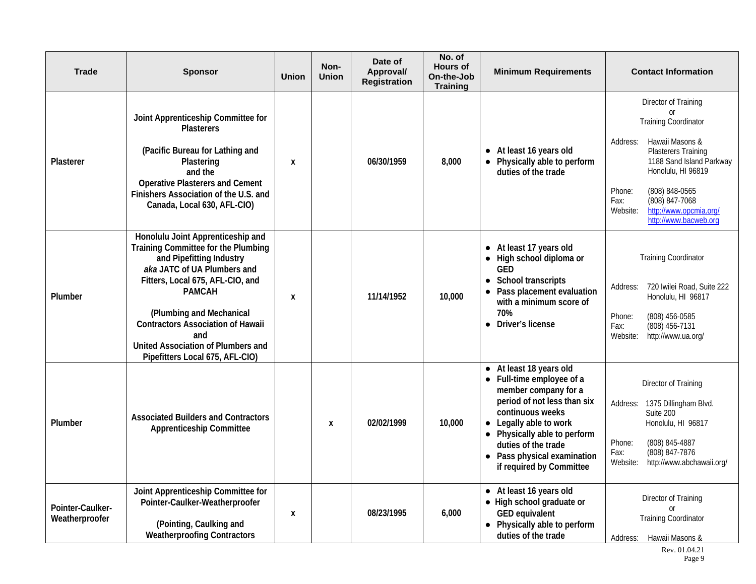| <b>Trade</b>                       | <b>Sponsor</b>                                                                                                                                                                                                                                                                                                                                          | <b>Union</b> | Non-<br><b>Union</b> | Date of<br>Approval/<br><b>Registration</b> | No. of<br><b>Hours of</b><br>On-the-Job<br><b>Training</b> | <b>Minimum Requirements</b>                                                                                                                                                                                                                                                 | <b>Contact Information</b>                                                                                                                                                                                                                                                                        |
|------------------------------------|---------------------------------------------------------------------------------------------------------------------------------------------------------------------------------------------------------------------------------------------------------------------------------------------------------------------------------------------------------|--------------|----------------------|---------------------------------------------|------------------------------------------------------------|-----------------------------------------------------------------------------------------------------------------------------------------------------------------------------------------------------------------------------------------------------------------------------|---------------------------------------------------------------------------------------------------------------------------------------------------------------------------------------------------------------------------------------------------------------------------------------------------|
| Plasterer                          | Joint Apprenticeship Committee for<br><b>Plasterers</b><br>(Pacific Bureau for Lathing and<br>Plastering<br>and the<br><b>Operative Plasterers and Cement</b><br>Finishers Association of the U.S. and<br>Canada, Local 630, AFL-CIO)                                                                                                                   | X            |                      | 06/30/1959                                  | 8,000                                                      | At least 16 years old<br>• Physically able to perform<br>duties of the trade                                                                                                                                                                                                | Director of Training<br><sub>or</sub><br><b>Training Coordinator</b><br>Hawaii Masons &<br>Address:<br>Plasterers Training<br>1188 Sand Island Parkway<br>Honolulu, HI 96819<br>(808) 848-0565<br>Phone:<br>(808) 847-7068<br>Fax:<br>http://www.opcmia.org/<br>Website:<br>http://www.bacweb.org |
| Plumber                            | Honolulu Joint Apprenticeship and<br>Training Committee for the Plumbing<br>and Pipefitting Industry<br>aka JATC of UA Plumbers and<br>Fitters, Local 675, AFL-CIO, and<br><b>PAMCAH</b><br>(Plumbing and Mechanical<br><b>Contractors Association of Hawaii</b><br>and<br><b>United Association of Plumbers and</b><br>Pipefitters Local 675, AFL-CIO) | X            |                      | 11/14/1952                                  | 10,000                                                     | • At least 17 years old<br>• High school diploma or<br><b>GED</b><br><b>School transcripts</b><br>$\bullet$<br>• Pass placement evaluation<br>with a minimum score of<br>70%<br>• Driver's license                                                                          | <b>Training Coordinator</b><br>720 Iwilei Road, Suite 222<br>Address:<br>Honolulu, HI 96817<br>(808) 456-0585<br>Phone:<br>Fax:<br>(808) 456-7131<br>Website:<br>http://www.ua.org/                                                                                                               |
| Plumber                            | <b>Associated Builders and Contractors</b><br><b>Apprenticeship Committee</b>                                                                                                                                                                                                                                                                           |              | $\mathbf{x}$         | 02/02/1999                                  | 10,000                                                     | • At least 18 years old<br>• Full-time employee of a<br>member company for a<br>period of not less than six<br>continuous weeks<br>• Legally able to work<br>• Physically able to perform<br>duties of the trade<br>• Pass physical examination<br>if required by Committee | Director of Training<br>1375 Dillingham Blvd.<br>Address:<br>Suite 200<br>Honolulu, HI 96817<br>Phone:<br>(808) 845-4887<br>(808) 847-7876<br>Fax:<br>http://www.abchawaii.org/<br>Website:                                                                                                       |
| Pointer-Caulker-<br>Weatherproofer | Joint Apprenticeship Committee for<br>Pointer-Caulker-Weatherproofer<br>(Pointing, Caulking and<br><b>Weatherproofing Contractors</b>                                                                                                                                                                                                                   | X            |                      | 08/23/1995                                  | 6,000                                                      | • At least 16 years old<br>• High school graduate or<br><b>GED equivalent</b><br>• Physically able to perform<br>duties of the trade                                                                                                                                        | Director of Training<br>or<br><b>Training Coordinator</b><br>Address: Hawaii Masons &                                                                                                                                                                                                             |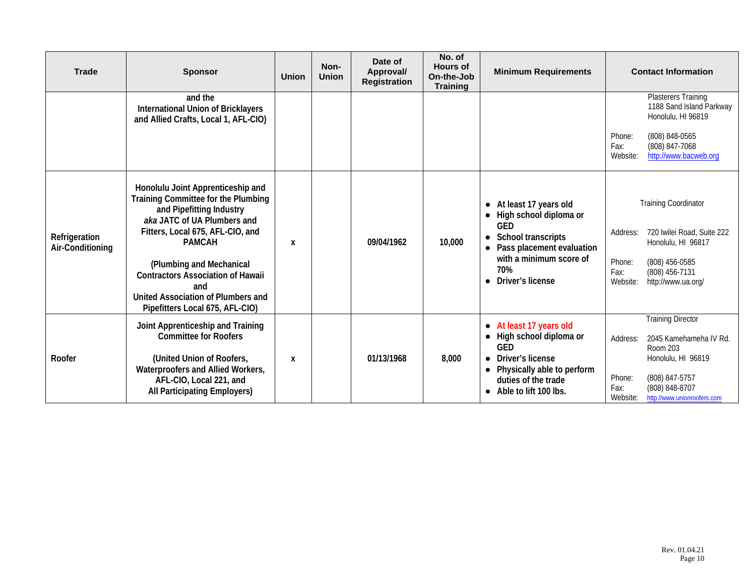| <b>Trade</b>                      | <b>Sponsor</b>                                                                                                                                                                                                                                                                                                                                   | <b>Union</b> | Non-<br><b>Union</b> | Date of<br>Approval/<br><b>Registration</b> | No. of<br><b>Hours of</b><br>On-the-Job<br><b>Training</b> | <b>Minimum Requirements</b>                                                                                                                                                                                   |                                        | <b>Contact Information</b>                                                                                                                              |
|-----------------------------------|--------------------------------------------------------------------------------------------------------------------------------------------------------------------------------------------------------------------------------------------------------------------------------------------------------------------------------------------------|--------------|----------------------|---------------------------------------------|------------------------------------------------------------|---------------------------------------------------------------------------------------------------------------------------------------------------------------------------------------------------------------|----------------------------------------|---------------------------------------------------------------------------------------------------------------------------------------------------------|
|                                   | and the<br><b>International Union of Bricklayers</b><br>and Allied Crafts, Local 1, AFL-CIO)                                                                                                                                                                                                                                                     |              |                      |                                             |                                                            |                                                                                                                                                                                                               | Phone:<br>Fax:<br>Website:             | <b>Plasterers Training</b><br>1188 Sand Island Parkway<br>Honolulu, HI 96819<br>(808) 848-0565<br>(808) 847-7068<br>http://www.bacweb.org               |
| Refrigeration<br>Air-Conditioning | Honolulu Joint Apprenticeship and<br>Training Committee for the Plumbing<br>and Pipefitting Industry<br>aka JATC of UA Plumbers and<br>Fitters, Local 675, AFL-CIO, and<br><b>PAMCAH</b><br>(Plumbing and Mechanical<br><b>Contractors Association of Hawaii</b><br>and<br>United Association of Plumbers and<br>Pipefitters Local 675, AFL-CIO) | X            |                      | 09/04/1962                                  | 10,000                                                     | At least 17 years old<br>$\bullet$<br>High school diploma or<br>GED<br><b>School transcripts</b><br>$\bullet$<br>Pass placement evaluation<br>with a minimum score of<br>70%<br>Driver's license<br>$\bullet$ | Address:<br>Phone:<br>Fax:<br>Website: | <b>Training Coordinator</b><br>720 Iwilei Road, Suite 222<br>Honolulu, HI 96817<br>(808) 456-0585<br>(808) 456-7131<br>http://www.ua.org/               |
| Roofer                            | Joint Apprenticeship and Training<br><b>Committee for Roofers</b><br>(United Union of Roofers,<br>Waterproofers and Allied Workers,<br>AFL-CIO, Local 221, and<br><b>All Participating Employers)</b>                                                                                                                                            | X            |                      | 01/13/1968                                  | 8,000                                                      | • At least 17 years old<br>High school diploma or<br>GED<br>Driver's license<br>$\bullet$<br>Physically able to perform<br>$\bullet$<br>duties of the trade<br>• Able to lift 100 lbs.                        | Address:<br>Phone:<br>Fax:<br>Website: | <b>Training Director</b><br>2045 Kamehameha IV Rd.<br>Room 203<br>Honolulu, HI 96819<br>(808) 847-5757<br>(808) 848-8707<br>http://www.unionroofers.com |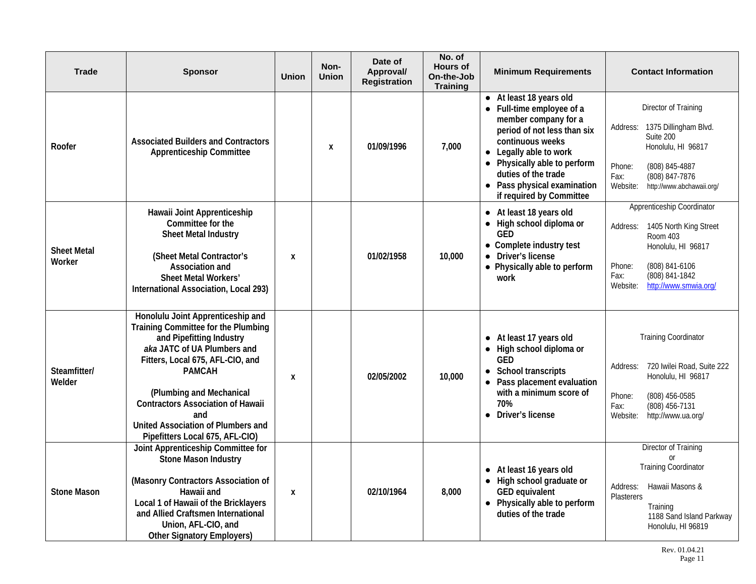| <b>Trade</b>                 | <b>Sponsor</b>                                                                                                                                                                                                                                                                                                                                   | <b>Union</b>     | Non-<br><b>Union</b> | Date of<br>Approval/<br><b>Registration</b> | No. of<br><b>Hours of</b><br>On-the-Job<br><b>Training</b> | <b>Minimum Requirements</b>                                                                                                                                                                                                                                                 | <b>Contact Information</b>                                                                                                                                                                    |
|------------------------------|--------------------------------------------------------------------------------------------------------------------------------------------------------------------------------------------------------------------------------------------------------------------------------------------------------------------------------------------------|------------------|----------------------|---------------------------------------------|------------------------------------------------------------|-----------------------------------------------------------------------------------------------------------------------------------------------------------------------------------------------------------------------------------------------------------------------------|-----------------------------------------------------------------------------------------------------------------------------------------------------------------------------------------------|
| Roofer                       | <b>Associated Builders and Contractors</b><br><b>Apprenticeship Committee</b>                                                                                                                                                                                                                                                                    |                  | X                    | 01/09/1996                                  | 7,000                                                      | • At least 18 years old<br>• Full-time employee of a<br>member company for a<br>period of not less than six<br>continuous weeks<br>• Legally able to work<br>• Physically able to perform<br>duties of the trade<br>• Pass physical examination<br>if required by Committee | Director of Training<br>1375 Dillingham Blvd.<br>Address:<br>Suite 200<br>Honolulu, HI 96817<br>(808) 845-4887<br>Phone:<br>(808) 847-7876<br>Fax:<br>Website:<br>http://www.abchawaii.org/   |
| <b>Sheet Metal</b><br>Worker | Hawaii Joint Apprenticeship<br>Committee for the<br>Sheet Metal Industry<br>(Sheet Metal Contractor's<br>Association and<br>Sheet Metal Workers'<br>International Association, Local 293)                                                                                                                                                        | X                |                      | 01/02/1958                                  | 10,000                                                     | • At least 18 years old<br>• High school diploma or<br><b>GED</b><br>• Complete industry test<br>• Driver's license<br>Physically able to perform<br>work                                                                                                                   | Apprenticeship Coordinator<br>1405 North King Street<br>Address:<br>Room 403<br>Honolulu, HI 96817<br>(808) 841-6106<br>Phone:<br>(808) 841-1842<br>Fax:<br>http://www.smwia.org/<br>Website: |
| Steamfitter/<br>Welder       | Honolulu Joint Apprenticeship and<br>Training Committee for the Plumbing<br>and Pipefitting Industry<br>aka JATC of UA Plumbers and<br>Fitters, Local 675, AFL-CIO, and<br><b>PAMCAH</b><br>(Plumbing and Mechanical<br><b>Contractors Association of Hawaii</b><br>and<br>United Association of Plumbers and<br>Pipefitters Local 675, AFL-CIO) | X                |                      | 02/05/2002                                  | 10,000                                                     | • At least 17 years old<br>• High school diploma or<br>GED<br>School transcripts<br>$\bullet$<br>• Pass placement evaluation<br>with a minimum score of<br>70%<br>• Driver's license                                                                                        | <b>Training Coordinator</b><br>720 Iwilei Road, Suite 222<br>Address:<br>Honolulu, HI 96817<br>Phone:<br>(808) 456-0585<br>(808) 456-7131<br>Fax:<br>http://www.ua.org/<br>Website:           |
| <b>Stone Mason</b>           | Joint Apprenticeship Committee for<br>Stone Mason Industry<br>(Masonry Contractors Association of<br>Hawaii and<br>Local 1 of Hawaii of the Bricklayers<br>and Allied Craftsmen International<br>Union, AFL-CIO, and<br><b>Other Signatory Employers)</b>                                                                                        | $\boldsymbol{x}$ |                      | 02/10/1964                                  | 8,000                                                      | • At least 16 years old<br>• High school graduate or<br>GED equivalent<br>• Physically able to perform<br>duties of the trade                                                                                                                                               | <b>Director of Training</b><br><b>or</b><br><b>Training Coordinator</b><br>Hawaii Masons &<br>Address:<br>Plasterers<br>Training<br>1188 Sand Island Parkway<br>Honolulu, HI 96819            |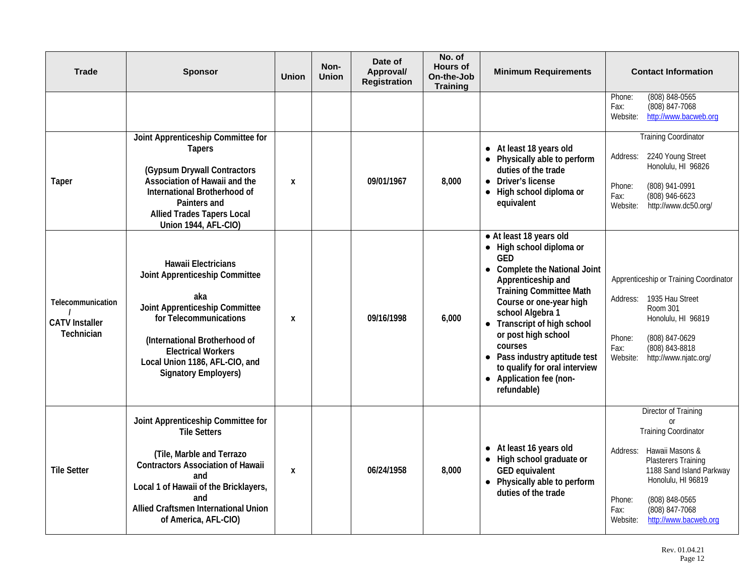| <b>Trade</b>                                             | <b>Sponsor</b>                                                                                                                                                                                                                                                 | <b>Union</b> | Non-<br><b>Union</b> | Date of<br>Approval/<br><b>Registration</b> | No. of<br><b>Hours of</b><br>On-the-Job<br><b>Training</b> | <b>Minimum Requirements</b>                                                                                                                                                                                                                                                                                                                                                                | <b>Contact Information</b>                                                                                                                                                                                                                                                 |
|----------------------------------------------------------|----------------------------------------------------------------------------------------------------------------------------------------------------------------------------------------------------------------------------------------------------------------|--------------|----------------------|---------------------------------------------|------------------------------------------------------------|--------------------------------------------------------------------------------------------------------------------------------------------------------------------------------------------------------------------------------------------------------------------------------------------------------------------------------------------------------------------------------------------|----------------------------------------------------------------------------------------------------------------------------------------------------------------------------------------------------------------------------------------------------------------------------|
|                                                          |                                                                                                                                                                                                                                                                |              |                      |                                             |                                                            |                                                                                                                                                                                                                                                                                                                                                                                            | (808) 848-0565<br>Phone:<br>(808) 847-7068<br>Fax:<br>Website:<br>http://www.bacweb.org                                                                                                                                                                                    |
| Taper                                                    | Joint Apprenticeship Committee for<br><b>Tapers</b><br>(Gypsum Drywall Contractors<br>Association of Hawaii and the<br>International Brotherhood of<br>Painters and<br><b>Allied Trades Tapers Local</b><br><b>Union 1944, AFL-CIO)</b>                        | X            |                      | 09/01/1967                                  | 8,000                                                      | • At least 18 years old<br>Physically able to perform<br>duties of the trade<br>• Driver's license<br>• High school diploma or<br>equivalent                                                                                                                                                                                                                                               | <b>Training Coordinator</b><br>2240 Young Street<br>Address:<br>Honolulu, HI 96826<br>(808) 941-0991<br>Phone:<br>(808) 946-6623<br>Fax:<br>Website:<br>http://www.dc50.org/                                                                                               |
| Telecommunication<br><b>CATV</b> Installer<br>Technician | <b>Hawaii Electricians</b><br>Joint Apprenticeship Committee<br>aka<br>Joint Apprenticeship Committee<br>for Telecommunications<br>(International Brotherhood of<br><b>Electrical Workers</b><br>Local Union 1186, AFL-CIO, and<br><b>Signatory Employers)</b> | X            |                      | 09/16/1998                                  | 6,000                                                      | • At least 18 years old<br>• High school diploma or<br>GED<br>• Complete the National Joint<br>Apprenticeship and<br><b>Training Committee Math</b><br>Course or one-year high<br>school Algebra 1<br>• Transcript of high school<br>or post high school<br>courses<br>• Pass industry aptitude test<br>to qualify for oral interview<br>Application fee (non-<br>$\bullet$<br>refundable) | Apprenticeship or Training Coordinator<br>1935 Hau Street<br>Address:<br>Room 301<br>Honolulu, HI 96819<br>(808) 847-0629<br>Phone:<br>(808) 843-8818<br>Fax:<br>Website:<br>http://www.njatc.org/                                                                         |
| <b>Tile Setter</b>                                       | Joint Apprenticeship Committee for<br><b>Tile Setters</b><br>(Tile, Marble and Terrazo<br><b>Contractors Association of Hawaii</b><br>and<br>Local 1 of Hawaii of the Bricklayers,<br>and<br>Allied Craftsmen International Union<br>of America, AFL-CIO)      | X            |                      | 06/24/1958                                  | 8,000                                                      | • At least 16 years old<br>• High school graduate or<br>GED equivalent<br>Physically able to perform<br>duties of the trade                                                                                                                                                                                                                                                                | Director of Training<br><b>or</b><br><b>Training Coordinator</b><br>Hawaii Masons &<br>Address:<br><b>Plasterers Training</b><br>1188 Sand Island Parkway<br>Honolulu, HI 96819<br>(808) 848-0565<br>Phone:<br>(808) 847-7068<br>Fax:<br>http://www.bacweb.org<br>Website: |